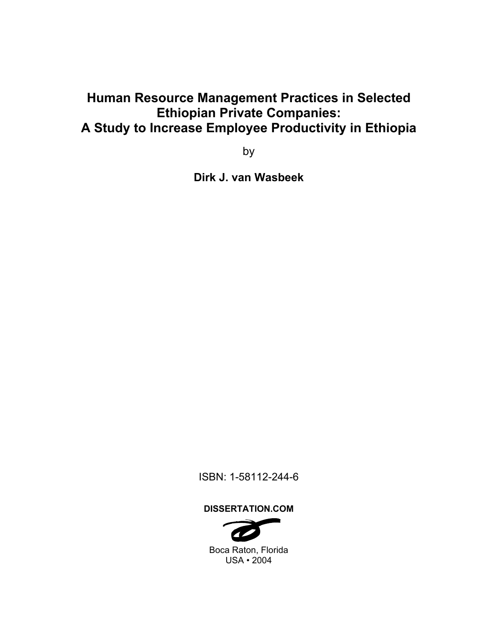### **Human Resource Management Practices in Selected Ethiopian Private Companies: A Study to Increase Employee Productivity in Ethiopia**

by

**Dirk J. van Wasbeek** 

ISBN: 1-58112-244-6

**DISSERTATION.COM** 



Boca Raton, Florida USA • 2004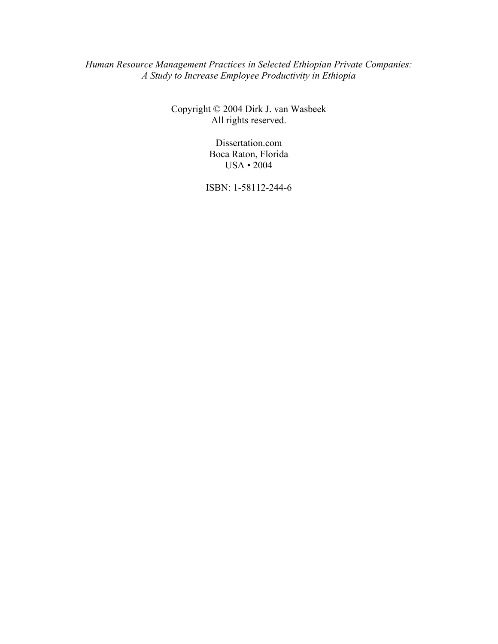*Human Resource Management Practices in Selected Ethiopian Private Companies: A Study to Increase Employee Productivity in Ethiopia* 

> Copyright © 2004 Dirk J. van Wasbeek All rights reserved.

> > Dissertation.com Boca Raton, Florida USA • 2004

ISBN: 1-58112-244-6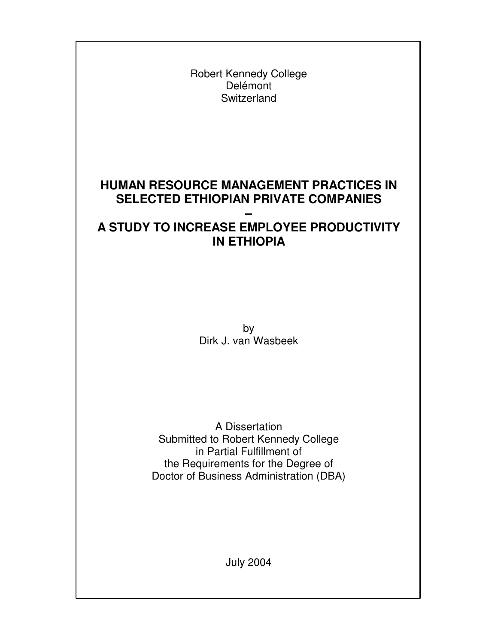Robert Kennedy College Delémont **Switzerland** 

### **HUMAN RESOURCE MANAGEMENT PRACTICES IN SELECTED ETHIOPIAN PRIVATE COMPANIES**

#### **– A STUDY TO INCREASE EMPLOYEE PRODUCTIVITY IN ETHIOPIA**

by Dirk J. van Wasbeek

A Dissertation Submitted to Robert Kennedy College in Partial Fulfillment of the Requirements for the Degree of Doctor of Business Administration (DBA)

July 2004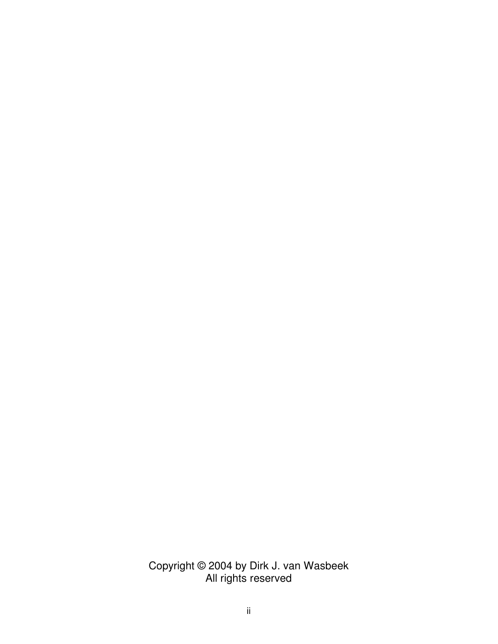Copyright © 2004 by Dirk J. van Wasbeek All rights reserved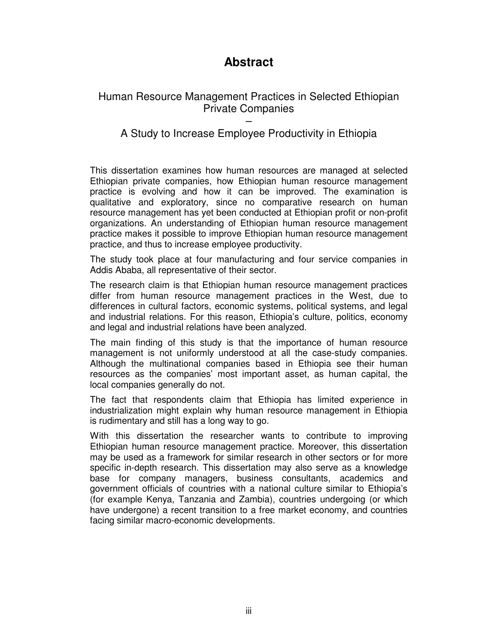### **Abstract**

#### Human Resource Management Practices in Selected Ethiopian Private Companies

#### – A Study to Increase Employee Productivity in Ethiopia

This dissertation examines how human resources are managed at selected Ethiopian private companies, how Ethiopian human resource management practice is evolving and how it can be improved. The examination is qualitative and exploratory, since no comparative research on human resource management has yet been conducted at Ethiopian profit or non-profit organizations. An understanding of Ethiopian human resource management practice makes it possible to improve Ethiopian human resource management practice, and thus to increase employee productivity.

The study took place at four manufacturing and four service companies in Addis Ababa, all representative of their sector.

The research claim is that Ethiopian human resource management practices differ from human resource management practices in the West, due to differences in cultural factors, economic systems, political systems, and legal and industrial relations. For this reason, Ethiopia's culture, politics, economy and legal and industrial relations have been analyzed.

The main finding of this study is that the importance of human resource management is not uniformly understood at all the case-study companies. Although the multinational companies based in Ethiopia see their human resources as the companies' most important asset, as human capital, the local companies generally do not.

The fact that respondents claim that Ethiopia has limited experience in industrialization might explain why human resource management in Ethiopia is rudimentary and still has a long way to go.

With this dissertation the researcher wants to contribute to improving Ethiopian human resource management practice. Moreover, this dissertation may be used as a framework for similar research in other sectors or for more specific in-depth research. This dissertation may also serve as a knowledge base for company managers, business consultants, academics and government officials of countries with a national culture similar to Ethiopia's (for example Kenya, Tanzania and Zambia), countries undergoing (or which have undergone) a recent transition to a free market economy, and countries facing similar macro-economic developments.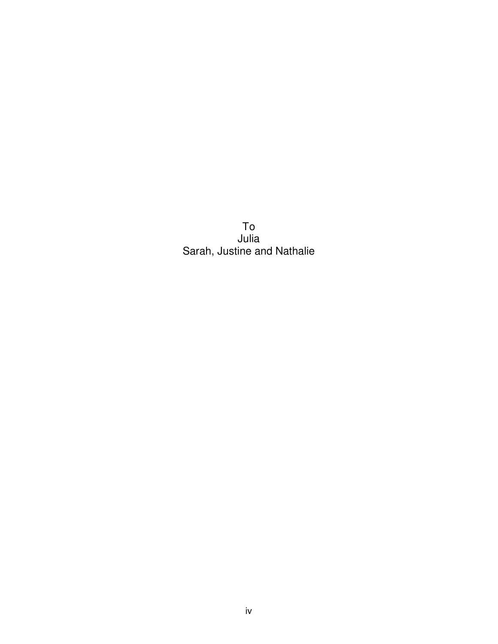To Julia Sarah, Justine and Nathalie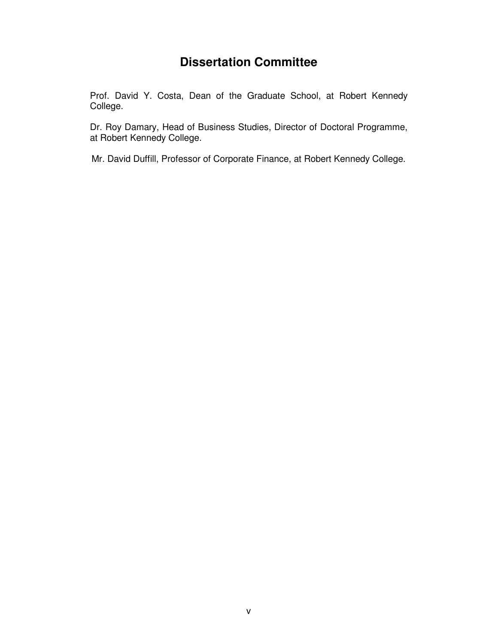### **Dissertation Committee**

Prof. David Y. Costa, Dean of the Graduate School, at Robert Kennedy College.

Dr. Roy Damary, Head of Business Studies, Director of Doctoral Programme, at Robert Kennedy College.

Mr. David Duffill, Professor of Corporate Finance, at Robert Kennedy College.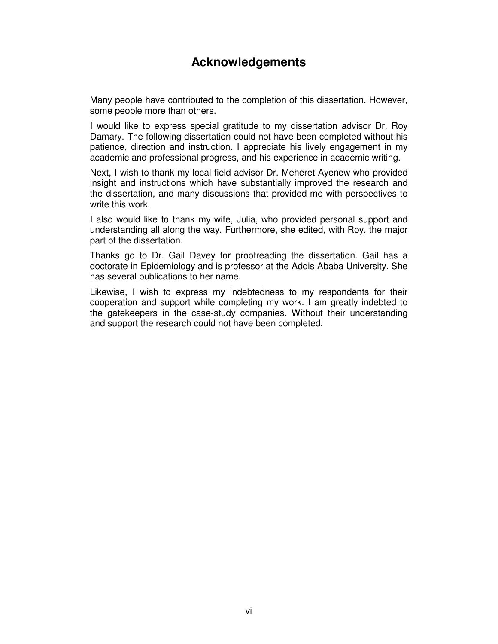#### **Acknowledgements**

Many people have contributed to the completion of this dissertation. However, some people more than others.

I would like to express special gratitude to my dissertation advisor Dr. Roy Damary. The following dissertation could not have been completed without his patience, direction and instruction. I appreciate his lively engagement in my academic and professional progress, and his experience in academic writing.

Next, I wish to thank my local field advisor Dr. Meheret Ayenew who provided insight and instructions which have substantially improved the research and the dissertation, and many discussions that provided me with perspectives to write this work.

I also would like to thank my wife, Julia, who provided personal support and understanding all along the way. Furthermore, she edited, with Roy, the major part of the dissertation.

Thanks go to Dr. Gail Davey for proofreading the dissertation. Gail has a doctorate in Epidemiology and is professor at the Addis Ababa University. She has several publications to her name.

Likewise, I wish to express my indebtedness to my respondents for their cooperation and support while completing my work. I am greatly indebted to the gatekeepers in the case-study companies. Without their understanding and support the research could not have been completed.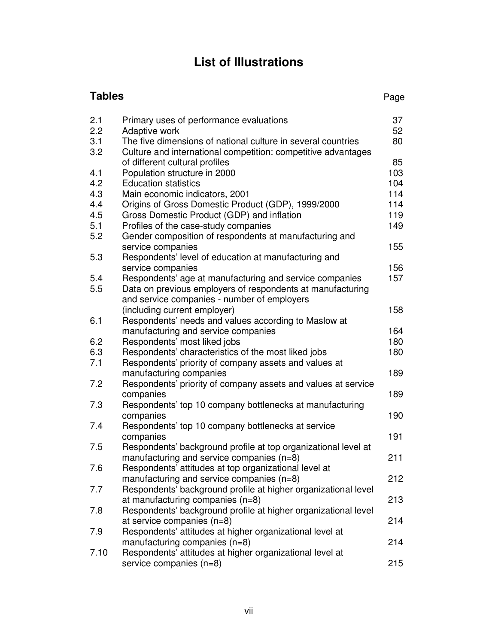# **List of Illustrations**

| 37<br>2.1<br>Primary uses of performance evaluations<br>2.2<br>52<br>Adaptive work<br>3.1<br>The five dimensions of national culture in several countries<br>80<br>3.2<br>Culture and international competition: competitive advantages<br>85<br>of different cultural profiles<br>Population structure in 2000<br>4.1<br>103<br>4.2<br><b>Education statistics</b><br>104<br>4.3<br>114<br>Main economic indicators, 2001<br>4.4<br>Origins of Gross Domestic Product (GDP), 1999/2000<br>114<br>119<br>4.5<br>Gross Domestic Product (GDP) and inflation<br>149<br>5.1<br>Profiles of the case-study companies<br>5.2<br>Gender composition of respondents at manufacturing and<br>155<br>service companies<br>5.3<br>Respondents' level of education at manufacturing and<br>156<br>service companies<br>157<br>5.4<br>Respondents' age at manufacturing and service companies<br>5.5<br>Data on previous employers of respondents at manufacturing<br>and service companies - number of employers<br>(including current employer)<br>158<br>6.1<br>Respondents' needs and values according to Maslow at<br>manufacturing and service companies<br>164<br>6.2<br>Respondents' most liked jobs<br>180<br>6.3<br>Respondents' characteristics of the most liked jobs<br>180<br>Respondents' priority of company assets and values at<br>7.1<br>manufacturing companies<br>189<br>7.2<br>Respondents' priority of company assets and values at service<br>companies<br>189<br>7.3<br>Respondents' top 10 company bottlenecks at manufacturing<br>190<br>companies<br>7.4<br>Respondents' top 10 company bottlenecks at service<br>191<br>companies<br>7.5<br>Respondents' background profile at top organizational level at<br>211<br>manufacturing and service companies $(n=8)$<br>7.6<br>Respondents' attitudes at top organizational level at<br>manufacturing and service companies (n=8)<br>212<br>Respondents' background profile at higher organizational level<br>7.7<br>at manufacturing companies $(n=8)$<br>213<br>Respondents' background profile at higher organizational level<br>7.8<br>at service companies $(n=8)$<br>214<br>Respondents' attitudes at higher organizational level at<br>7.9<br>manufacturing companies $(n=8)$<br>214<br>Respondents' attitudes at higher organizational level at<br>7.10<br>215<br>service companies (n=8) | <b>Tables</b> |  | Page |
|----------------------------------------------------------------------------------------------------------------------------------------------------------------------------------------------------------------------------------------------------------------------------------------------------------------------------------------------------------------------------------------------------------------------------------------------------------------------------------------------------------------------------------------------------------------------------------------------------------------------------------------------------------------------------------------------------------------------------------------------------------------------------------------------------------------------------------------------------------------------------------------------------------------------------------------------------------------------------------------------------------------------------------------------------------------------------------------------------------------------------------------------------------------------------------------------------------------------------------------------------------------------------------------------------------------------------------------------------------------------------------------------------------------------------------------------------------------------------------------------------------------------------------------------------------------------------------------------------------------------------------------------------------------------------------------------------------------------------------------------------------------------------------------------------------------------------------------------------------------------------------------------------------------------------------------------------------------------------------------------------------------------------------------------------------------------------------------------------------------------------------------------------------------------------------------------------------------------------------------------------------------------------------------------------------------------------------------------------------------|---------------|--|------|
|                                                                                                                                                                                                                                                                                                                                                                                                                                                                                                                                                                                                                                                                                                                                                                                                                                                                                                                                                                                                                                                                                                                                                                                                                                                                                                                                                                                                                                                                                                                                                                                                                                                                                                                                                                                                                                                                                                                                                                                                                                                                                                                                                                                                                                                                                                                                                                |               |  |      |
|                                                                                                                                                                                                                                                                                                                                                                                                                                                                                                                                                                                                                                                                                                                                                                                                                                                                                                                                                                                                                                                                                                                                                                                                                                                                                                                                                                                                                                                                                                                                                                                                                                                                                                                                                                                                                                                                                                                                                                                                                                                                                                                                                                                                                                                                                                                                                                |               |  |      |
|                                                                                                                                                                                                                                                                                                                                                                                                                                                                                                                                                                                                                                                                                                                                                                                                                                                                                                                                                                                                                                                                                                                                                                                                                                                                                                                                                                                                                                                                                                                                                                                                                                                                                                                                                                                                                                                                                                                                                                                                                                                                                                                                                                                                                                                                                                                                                                |               |  |      |
|                                                                                                                                                                                                                                                                                                                                                                                                                                                                                                                                                                                                                                                                                                                                                                                                                                                                                                                                                                                                                                                                                                                                                                                                                                                                                                                                                                                                                                                                                                                                                                                                                                                                                                                                                                                                                                                                                                                                                                                                                                                                                                                                                                                                                                                                                                                                                                |               |  |      |
|                                                                                                                                                                                                                                                                                                                                                                                                                                                                                                                                                                                                                                                                                                                                                                                                                                                                                                                                                                                                                                                                                                                                                                                                                                                                                                                                                                                                                                                                                                                                                                                                                                                                                                                                                                                                                                                                                                                                                                                                                                                                                                                                                                                                                                                                                                                                                                |               |  |      |
|                                                                                                                                                                                                                                                                                                                                                                                                                                                                                                                                                                                                                                                                                                                                                                                                                                                                                                                                                                                                                                                                                                                                                                                                                                                                                                                                                                                                                                                                                                                                                                                                                                                                                                                                                                                                                                                                                                                                                                                                                                                                                                                                                                                                                                                                                                                                                                |               |  |      |
|                                                                                                                                                                                                                                                                                                                                                                                                                                                                                                                                                                                                                                                                                                                                                                                                                                                                                                                                                                                                                                                                                                                                                                                                                                                                                                                                                                                                                                                                                                                                                                                                                                                                                                                                                                                                                                                                                                                                                                                                                                                                                                                                                                                                                                                                                                                                                                |               |  |      |
|                                                                                                                                                                                                                                                                                                                                                                                                                                                                                                                                                                                                                                                                                                                                                                                                                                                                                                                                                                                                                                                                                                                                                                                                                                                                                                                                                                                                                                                                                                                                                                                                                                                                                                                                                                                                                                                                                                                                                                                                                                                                                                                                                                                                                                                                                                                                                                |               |  |      |
|                                                                                                                                                                                                                                                                                                                                                                                                                                                                                                                                                                                                                                                                                                                                                                                                                                                                                                                                                                                                                                                                                                                                                                                                                                                                                                                                                                                                                                                                                                                                                                                                                                                                                                                                                                                                                                                                                                                                                                                                                                                                                                                                                                                                                                                                                                                                                                |               |  |      |
|                                                                                                                                                                                                                                                                                                                                                                                                                                                                                                                                                                                                                                                                                                                                                                                                                                                                                                                                                                                                                                                                                                                                                                                                                                                                                                                                                                                                                                                                                                                                                                                                                                                                                                                                                                                                                                                                                                                                                                                                                                                                                                                                                                                                                                                                                                                                                                |               |  |      |
|                                                                                                                                                                                                                                                                                                                                                                                                                                                                                                                                                                                                                                                                                                                                                                                                                                                                                                                                                                                                                                                                                                                                                                                                                                                                                                                                                                                                                                                                                                                                                                                                                                                                                                                                                                                                                                                                                                                                                                                                                                                                                                                                                                                                                                                                                                                                                                |               |  |      |
|                                                                                                                                                                                                                                                                                                                                                                                                                                                                                                                                                                                                                                                                                                                                                                                                                                                                                                                                                                                                                                                                                                                                                                                                                                                                                                                                                                                                                                                                                                                                                                                                                                                                                                                                                                                                                                                                                                                                                                                                                                                                                                                                                                                                                                                                                                                                                                |               |  |      |
|                                                                                                                                                                                                                                                                                                                                                                                                                                                                                                                                                                                                                                                                                                                                                                                                                                                                                                                                                                                                                                                                                                                                                                                                                                                                                                                                                                                                                                                                                                                                                                                                                                                                                                                                                                                                                                                                                                                                                                                                                                                                                                                                                                                                                                                                                                                                                                |               |  |      |
|                                                                                                                                                                                                                                                                                                                                                                                                                                                                                                                                                                                                                                                                                                                                                                                                                                                                                                                                                                                                                                                                                                                                                                                                                                                                                                                                                                                                                                                                                                                                                                                                                                                                                                                                                                                                                                                                                                                                                                                                                                                                                                                                                                                                                                                                                                                                                                |               |  |      |
|                                                                                                                                                                                                                                                                                                                                                                                                                                                                                                                                                                                                                                                                                                                                                                                                                                                                                                                                                                                                                                                                                                                                                                                                                                                                                                                                                                                                                                                                                                                                                                                                                                                                                                                                                                                                                                                                                                                                                                                                                                                                                                                                                                                                                                                                                                                                                                |               |  |      |
|                                                                                                                                                                                                                                                                                                                                                                                                                                                                                                                                                                                                                                                                                                                                                                                                                                                                                                                                                                                                                                                                                                                                                                                                                                                                                                                                                                                                                                                                                                                                                                                                                                                                                                                                                                                                                                                                                                                                                                                                                                                                                                                                                                                                                                                                                                                                                                |               |  |      |
|                                                                                                                                                                                                                                                                                                                                                                                                                                                                                                                                                                                                                                                                                                                                                                                                                                                                                                                                                                                                                                                                                                                                                                                                                                                                                                                                                                                                                                                                                                                                                                                                                                                                                                                                                                                                                                                                                                                                                                                                                                                                                                                                                                                                                                                                                                                                                                |               |  |      |
|                                                                                                                                                                                                                                                                                                                                                                                                                                                                                                                                                                                                                                                                                                                                                                                                                                                                                                                                                                                                                                                                                                                                                                                                                                                                                                                                                                                                                                                                                                                                                                                                                                                                                                                                                                                                                                                                                                                                                                                                                                                                                                                                                                                                                                                                                                                                                                |               |  |      |
|                                                                                                                                                                                                                                                                                                                                                                                                                                                                                                                                                                                                                                                                                                                                                                                                                                                                                                                                                                                                                                                                                                                                                                                                                                                                                                                                                                                                                                                                                                                                                                                                                                                                                                                                                                                                                                                                                                                                                                                                                                                                                                                                                                                                                                                                                                                                                                |               |  |      |
|                                                                                                                                                                                                                                                                                                                                                                                                                                                                                                                                                                                                                                                                                                                                                                                                                                                                                                                                                                                                                                                                                                                                                                                                                                                                                                                                                                                                                                                                                                                                                                                                                                                                                                                                                                                                                                                                                                                                                                                                                                                                                                                                                                                                                                                                                                                                                                |               |  |      |
|                                                                                                                                                                                                                                                                                                                                                                                                                                                                                                                                                                                                                                                                                                                                                                                                                                                                                                                                                                                                                                                                                                                                                                                                                                                                                                                                                                                                                                                                                                                                                                                                                                                                                                                                                                                                                                                                                                                                                                                                                                                                                                                                                                                                                                                                                                                                                                |               |  |      |
|                                                                                                                                                                                                                                                                                                                                                                                                                                                                                                                                                                                                                                                                                                                                                                                                                                                                                                                                                                                                                                                                                                                                                                                                                                                                                                                                                                                                                                                                                                                                                                                                                                                                                                                                                                                                                                                                                                                                                                                                                                                                                                                                                                                                                                                                                                                                                                |               |  |      |
|                                                                                                                                                                                                                                                                                                                                                                                                                                                                                                                                                                                                                                                                                                                                                                                                                                                                                                                                                                                                                                                                                                                                                                                                                                                                                                                                                                                                                                                                                                                                                                                                                                                                                                                                                                                                                                                                                                                                                                                                                                                                                                                                                                                                                                                                                                                                                                |               |  |      |
|                                                                                                                                                                                                                                                                                                                                                                                                                                                                                                                                                                                                                                                                                                                                                                                                                                                                                                                                                                                                                                                                                                                                                                                                                                                                                                                                                                                                                                                                                                                                                                                                                                                                                                                                                                                                                                                                                                                                                                                                                                                                                                                                                                                                                                                                                                                                                                |               |  |      |
|                                                                                                                                                                                                                                                                                                                                                                                                                                                                                                                                                                                                                                                                                                                                                                                                                                                                                                                                                                                                                                                                                                                                                                                                                                                                                                                                                                                                                                                                                                                                                                                                                                                                                                                                                                                                                                                                                                                                                                                                                                                                                                                                                                                                                                                                                                                                                                |               |  |      |
|                                                                                                                                                                                                                                                                                                                                                                                                                                                                                                                                                                                                                                                                                                                                                                                                                                                                                                                                                                                                                                                                                                                                                                                                                                                                                                                                                                                                                                                                                                                                                                                                                                                                                                                                                                                                                                                                                                                                                                                                                                                                                                                                                                                                                                                                                                                                                                |               |  |      |
|                                                                                                                                                                                                                                                                                                                                                                                                                                                                                                                                                                                                                                                                                                                                                                                                                                                                                                                                                                                                                                                                                                                                                                                                                                                                                                                                                                                                                                                                                                                                                                                                                                                                                                                                                                                                                                                                                                                                                                                                                                                                                                                                                                                                                                                                                                                                                                |               |  |      |
|                                                                                                                                                                                                                                                                                                                                                                                                                                                                                                                                                                                                                                                                                                                                                                                                                                                                                                                                                                                                                                                                                                                                                                                                                                                                                                                                                                                                                                                                                                                                                                                                                                                                                                                                                                                                                                                                                                                                                                                                                                                                                                                                                                                                                                                                                                                                                                |               |  |      |
|                                                                                                                                                                                                                                                                                                                                                                                                                                                                                                                                                                                                                                                                                                                                                                                                                                                                                                                                                                                                                                                                                                                                                                                                                                                                                                                                                                                                                                                                                                                                                                                                                                                                                                                                                                                                                                                                                                                                                                                                                                                                                                                                                                                                                                                                                                                                                                |               |  |      |
|                                                                                                                                                                                                                                                                                                                                                                                                                                                                                                                                                                                                                                                                                                                                                                                                                                                                                                                                                                                                                                                                                                                                                                                                                                                                                                                                                                                                                                                                                                                                                                                                                                                                                                                                                                                                                                                                                                                                                                                                                                                                                                                                                                                                                                                                                                                                                                |               |  |      |
|                                                                                                                                                                                                                                                                                                                                                                                                                                                                                                                                                                                                                                                                                                                                                                                                                                                                                                                                                                                                                                                                                                                                                                                                                                                                                                                                                                                                                                                                                                                                                                                                                                                                                                                                                                                                                                                                                                                                                                                                                                                                                                                                                                                                                                                                                                                                                                |               |  |      |
|                                                                                                                                                                                                                                                                                                                                                                                                                                                                                                                                                                                                                                                                                                                                                                                                                                                                                                                                                                                                                                                                                                                                                                                                                                                                                                                                                                                                                                                                                                                                                                                                                                                                                                                                                                                                                                                                                                                                                                                                                                                                                                                                                                                                                                                                                                                                                                |               |  |      |
|                                                                                                                                                                                                                                                                                                                                                                                                                                                                                                                                                                                                                                                                                                                                                                                                                                                                                                                                                                                                                                                                                                                                                                                                                                                                                                                                                                                                                                                                                                                                                                                                                                                                                                                                                                                                                                                                                                                                                                                                                                                                                                                                                                                                                                                                                                                                                                |               |  |      |
|                                                                                                                                                                                                                                                                                                                                                                                                                                                                                                                                                                                                                                                                                                                                                                                                                                                                                                                                                                                                                                                                                                                                                                                                                                                                                                                                                                                                                                                                                                                                                                                                                                                                                                                                                                                                                                                                                                                                                                                                                                                                                                                                                                                                                                                                                                                                                                |               |  |      |
|                                                                                                                                                                                                                                                                                                                                                                                                                                                                                                                                                                                                                                                                                                                                                                                                                                                                                                                                                                                                                                                                                                                                                                                                                                                                                                                                                                                                                                                                                                                                                                                                                                                                                                                                                                                                                                                                                                                                                                                                                                                                                                                                                                                                                                                                                                                                                                |               |  |      |
|                                                                                                                                                                                                                                                                                                                                                                                                                                                                                                                                                                                                                                                                                                                                                                                                                                                                                                                                                                                                                                                                                                                                                                                                                                                                                                                                                                                                                                                                                                                                                                                                                                                                                                                                                                                                                                                                                                                                                                                                                                                                                                                                                                                                                                                                                                                                                                |               |  |      |
|                                                                                                                                                                                                                                                                                                                                                                                                                                                                                                                                                                                                                                                                                                                                                                                                                                                                                                                                                                                                                                                                                                                                                                                                                                                                                                                                                                                                                                                                                                                                                                                                                                                                                                                                                                                                                                                                                                                                                                                                                                                                                                                                                                                                                                                                                                                                                                |               |  |      |
|                                                                                                                                                                                                                                                                                                                                                                                                                                                                                                                                                                                                                                                                                                                                                                                                                                                                                                                                                                                                                                                                                                                                                                                                                                                                                                                                                                                                                                                                                                                                                                                                                                                                                                                                                                                                                                                                                                                                                                                                                                                                                                                                                                                                                                                                                                                                                                |               |  |      |
|                                                                                                                                                                                                                                                                                                                                                                                                                                                                                                                                                                                                                                                                                                                                                                                                                                                                                                                                                                                                                                                                                                                                                                                                                                                                                                                                                                                                                                                                                                                                                                                                                                                                                                                                                                                                                                                                                                                                                                                                                                                                                                                                                                                                                                                                                                                                                                |               |  |      |
|                                                                                                                                                                                                                                                                                                                                                                                                                                                                                                                                                                                                                                                                                                                                                                                                                                                                                                                                                                                                                                                                                                                                                                                                                                                                                                                                                                                                                                                                                                                                                                                                                                                                                                                                                                                                                                                                                                                                                                                                                                                                                                                                                                                                                                                                                                                                                                |               |  |      |
|                                                                                                                                                                                                                                                                                                                                                                                                                                                                                                                                                                                                                                                                                                                                                                                                                                                                                                                                                                                                                                                                                                                                                                                                                                                                                                                                                                                                                                                                                                                                                                                                                                                                                                                                                                                                                                                                                                                                                                                                                                                                                                                                                                                                                                                                                                                                                                |               |  |      |
|                                                                                                                                                                                                                                                                                                                                                                                                                                                                                                                                                                                                                                                                                                                                                                                                                                                                                                                                                                                                                                                                                                                                                                                                                                                                                                                                                                                                                                                                                                                                                                                                                                                                                                                                                                                                                                                                                                                                                                                                                                                                                                                                                                                                                                                                                                                                                                |               |  |      |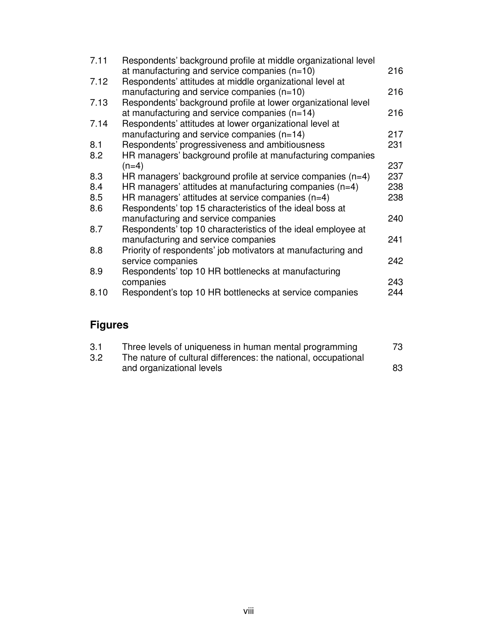| 7.11 | Respondents' background profile at middle organizational level<br>at manufacturing and service companies $(n=10)$ | 216 |
|------|-------------------------------------------------------------------------------------------------------------------|-----|
| 7.12 | Respondents' attitudes at middle organizational level at                                                          |     |
|      | manufacturing and service companies $(n=10)$                                                                      | 216 |
| 7.13 | Respondents' background profile at lower organizational level                                                     |     |
|      | at manufacturing and service companies $(n=14)$                                                                   | 216 |
| 7.14 | Respondents' attitudes at lower organizational level at                                                           |     |
|      | manufacturing and service companies $(n=14)$                                                                      | 217 |
| 8.1  | Respondents' progressiveness and ambitiousness                                                                    | 231 |
| 8.2  | HR managers' background profile at manufacturing companies                                                        |     |
|      | $(n=4)$                                                                                                           | 237 |
| 8.3  | HR managers' background profile at service companies (n=4)                                                        | 237 |
| 8.4  | HR managers' attitudes at manufacturing companies $(n=4)$                                                         | 238 |
| 8.5  | HR managers' attitudes at service companies $(n=4)$                                                               | 238 |
| 8.6  | Respondents' top 15 characteristics of the ideal boss at                                                          |     |
|      | manufacturing and service companies                                                                               | 240 |
| 8.7  | Respondents' top 10 characteristics of the ideal employee at                                                      |     |
|      | manufacturing and service companies                                                                               | 241 |
| 8.8  | Priority of respondents' job motivators at manufacturing and                                                      |     |
|      | service companies                                                                                                 | 242 |
| 8.9  | Respondents' top 10 HR bottlenecks at manufacturing                                                               |     |
|      | companies                                                                                                         | 243 |
| 8.10 | Respondent's top 10 HR bottlenecks at service companies                                                           | 244 |
|      |                                                                                                                   |     |

## **Figures**

| 3.1 | Three levels of uniqueness in human mental programming         | 73 |
|-----|----------------------------------------------------------------|----|
| 3.2 | The nature of cultural differences: the national, occupational |    |
|     | and organizational levels                                      | 83 |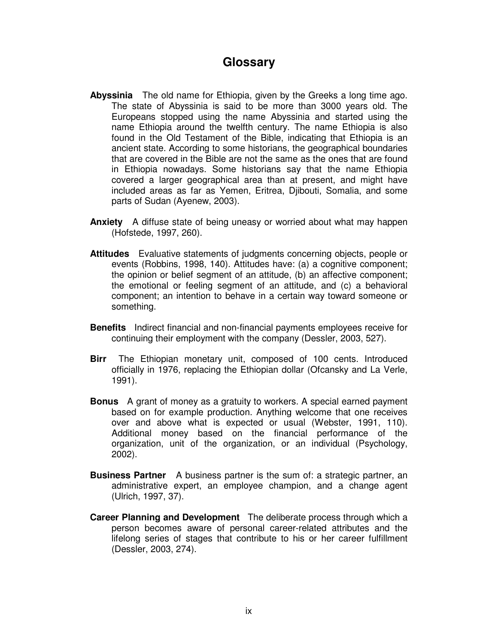#### **Glossary**

- **Abyssinia** The old name for Ethiopia, given by the Greeks a long time ago. The state of Abyssinia is said to be more than 3000 years old. The Europeans stopped using the name Abyssinia and started using the name Ethiopia around the twelfth century. The name Ethiopia is also found in the Old Testament of the Bible, indicating that Ethiopia is an ancient state. According to some historians, the geographical boundaries that are covered in the Bible are not the same as the ones that are found in Ethiopia nowadays. Some historians say that the name Ethiopia covered a larger geographical area than at present, and might have included areas as far as Yemen, Eritrea, Djibouti, Somalia, and some parts of Sudan (Ayenew, 2003).
- **Anxiety** A diffuse state of being uneasy or worried about what may happen (Hofstede, 1997, 260).
- **Attitudes** Evaluative statements of judgments concerning objects, people or events (Robbins, 1998, 140). Attitudes have: (a) a cognitive component; the opinion or belief segment of an attitude, (b) an affective component; the emotional or feeling segment of an attitude, and (c) a behavioral component; an intention to behave in a certain way toward someone or something.
- **Benefits** Indirect financial and non-financial payments employees receive for continuing their employment with the company (Dessler, 2003, 527).
- **Birr** The Ethiopian monetary unit, composed of 100 cents. Introduced officially in 1976, replacing the Ethiopian dollar (Ofcansky and La Verle, 1991).
- **Bonus** A grant of money as a gratuity to workers. A special earned payment based on for example production. Anything welcome that one receives over and above what is expected or usual (Webster, 1991, 110). Additional money based on the financial performance of the organization, unit of the organization, or an individual (Psychology, 2002).
- **Business Partner** A business partner is the sum of: a strategic partner, an administrative expert, an employee champion, and a change agent (Ulrich, 1997, 37).
- **Career Planning and Development** The deliberate process through which a person becomes aware of personal career-related attributes and the lifelong series of stages that contribute to his or her career fulfillment (Dessler, 2003, 274).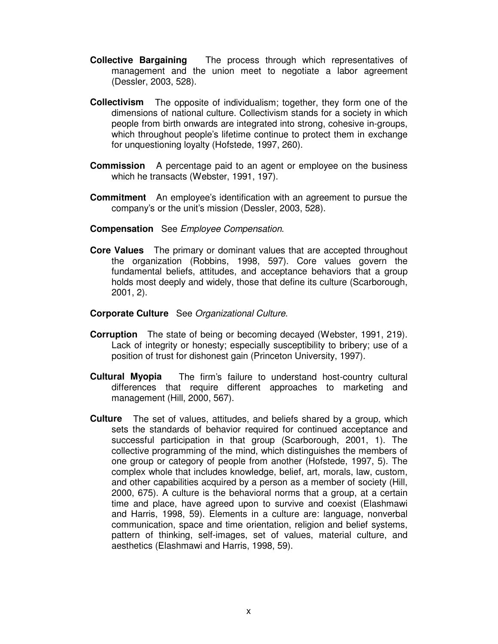- **Collective Bargaining** The process through which representatives of management and the union meet to negotiate a labor agreement (Dessler, 2003, 528).
- **Collectivism** The opposite of individualism; together, they form one of the dimensions of national culture. Collectivism stands for a society in which people from birth onwards are integrated into strong, cohesive in-groups, which throughout people's lifetime continue to protect them in exchange for unquestioning loyalty (Hofstede, 1997, 260).
- **Commission** A percentage paid to an agent or employee on the business which he transacts (Webster, 1991, 197).
- **Commitment** An employee's identification with an agreement to pursue the company's or the unit's mission (Dessler, 2003, 528).
- **Compensation** See *Employee Compensation*.
- **Core Values** The primary or dominant values that are accepted throughout the organization (Robbins, 1998, 597). Core values govern the fundamental beliefs, attitudes, and acceptance behaviors that a group holds most deeply and widely, those that define its culture (Scarborough, 2001, 2).
- **Corporate Culture** See *Organizational Culture*.
- **Corruption** The state of being or becoming decayed (Webster, 1991, 219). Lack of integrity or honesty; especially susceptibility to bribery; use of a position of trust for dishonest gain (Princeton University, 1997).
- **Cultural Myopia** The firm's failure to understand host-country cultural differences that require different approaches to marketing and management (Hill, 2000, 567).
- **Culture** The set of values, attitudes, and beliefs shared by a group, which sets the standards of behavior required for continued acceptance and successful participation in that group (Scarborough, 2001, 1). The collective programming of the mind, which distinguishes the members of one group or category of people from another (Hofstede, 1997, 5). The complex whole that includes knowledge, belief, art, morals, law, custom, and other capabilities acquired by a person as a member of society (Hill, 2000, 675). A culture is the behavioral norms that a group, at a certain time and place, have agreed upon to survive and coexist (Elashmawi and Harris, 1998, 59). Elements in a culture are: language, nonverbal communication, space and time orientation, religion and belief systems, pattern of thinking, self-images, set of values, material culture, and aesthetics (Elashmawi and Harris, 1998, 59).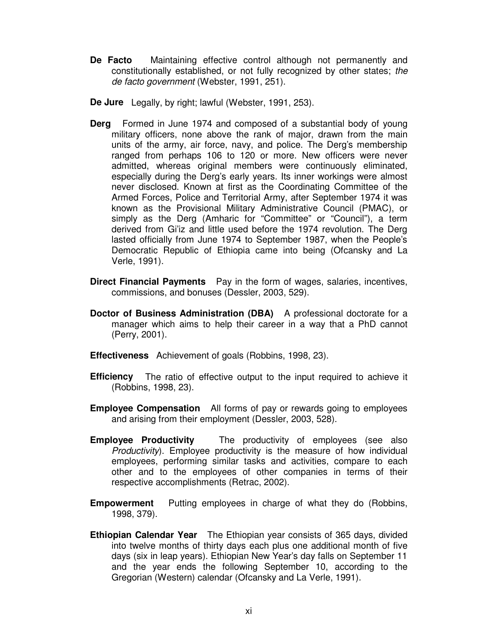**De Facto** Maintaining effective control although not permanently and constitutionally established, or not fully recognized by other states; *the de facto government* (Webster, 1991, 251).

**De Jure** Legally, by right; lawful (Webster, 1991, 253).

- **Derg** Formed in June 1974 and composed of a substantial body of young military officers, none above the rank of major, drawn from the main units of the army, air force, navy, and police. The Derg's membership ranged from perhaps 106 to 120 or more. New officers were never admitted, whereas original members were continuously eliminated, especially during the Derg's early years. Its inner workings were almost never disclosed. Known at first as the Coordinating Committee of the Armed Forces, Police and Territorial Army, after September 1974 it was known as the Provisional Military Administrative Council (PMAC), or simply as the Derg (Amharic for "Committee" or "Council"), a term derived from Gi'iz and little used before the 1974 revolution. The Derg lasted officially from June 1974 to September 1987, when the People's Democratic Republic of Ethiopia came into being (Ofcansky and La Verle, 1991).
- **Direct Financial Payments** Pay in the form of wages, salaries, incentives, commissions, and bonuses (Dessler, 2003, 529).
- **Doctor of Business Administration (DBA)** A professional doctorate for a manager which aims to help their career in a way that a PhD cannot (Perry, 2001).
- **Effectiveness** Achievement of goals (Robbins, 1998, 23).
- **Efficiency** The ratio of effective output to the input required to achieve it (Robbins, 1998, 23).
- **Employee Compensation** All forms of pay or rewards going to employees and arising from their employment (Dessler, 2003, 528).
- **Employee Productivity** The productivity of employees (see also *Productivity*). Employee productivity is the measure of how individual employees, performing similar tasks and activities, compare to each other and to the employees of other companies in terms of their respective accomplishments (Retrac, 2002).
- **Empowerment** Putting employees in charge of what they do (Robbins, 1998, 379).
- **Ethiopian Calendar Year** The Ethiopian year consists of 365 days, divided into twelve months of thirty days each plus one additional month of five days (six in leap years). Ethiopian New Year's day falls on September 11 and the year ends the following September 10, according to the Gregorian (Western) calendar (Ofcansky and La Verle, 1991).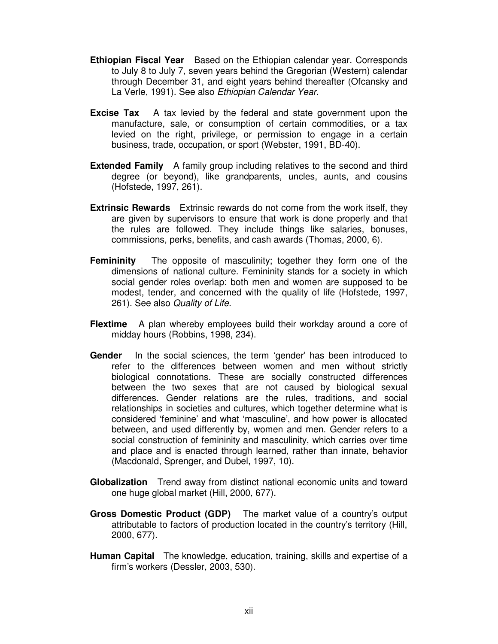- **Ethiopian Fiscal Year** Based on the Ethiopian calendar year. Corresponds to July 8 to July 7, seven years behind the Gregorian (Western) calendar through December 31, and eight years behind thereafter (Ofcansky and La Verle, 1991). See also *Ethiopian Calendar Year.*
- **Excise Tax** A tax levied by the federal and state government upon the manufacture, sale, or consumption of certain commodities, or a tax levied on the right, privilege, or permission to engage in a certain business, trade, occupation, or sport (Webster, 1991, BD-40).
- **Extended Family** A family group including relatives to the second and third degree (or beyond), like grandparents, uncles, aunts, and cousins (Hofstede, 1997, 261).
- **Extrinsic Rewards** Extrinsic rewards do not come from the work itself, they are given by supervisors to ensure that work is done properly and that the rules are followed. They include things like salaries, bonuses, commissions, perks, benefits, and cash awards (Thomas, 2000, 6).
- **Femininity** The opposite of masculinity; together they form one of the dimensions of national culture. Femininity stands for a society in which social gender roles overlap: both men and women are supposed to be modest, tender, and concerned with the quality of life (Hofstede, 1997, 261). See also *Quality of Life*.
- **Flextime** A plan whereby employees build their workday around a core of midday hours (Robbins, 1998, 234).
- **Gender** In the social sciences, the term 'gender' has been introduced to refer to the differences between women and men without strictly biological connotations. These are socially constructed differences between the two sexes that are not caused by biological sexual differences. Gender relations are the rules, traditions, and social relationships in societies and cultures, which together determine what is considered 'feminine' and what 'masculine', and how power is allocated between, and used differently by, women and men. Gender refers to a social construction of femininity and masculinity, which carries over time and place and is enacted through learned, rather than innate, behavior (Macdonald, Sprenger, and Dubel, 1997, 10).
- **Globalization** Trend away from distinct national economic units and toward one huge global market (Hill, 2000, 677).
- **Gross Domestic Product (GDP)** The market value of a country's output attributable to factors of production located in the country's territory (Hill, 2000, 677).
- **Human Capital** The knowledge, education, training, skills and expertise of a firm's workers (Dessler, 2003, 530).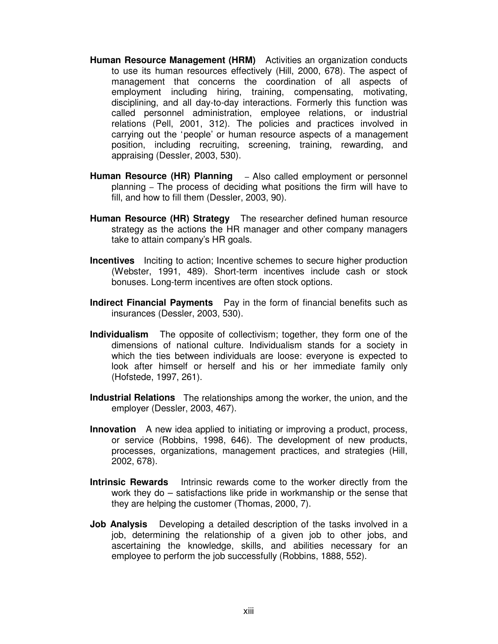- **Human Resource Management (HRM)** Activities an organization conducts to use its human resources effectively (Hill, 2000, 678). The aspect of management that concerns the coordination of all aspects of employment including hiring, training, compensating, motivating, disciplining, and all day-to-day interactions. Formerly this function was called personnel administration, employee relations, or industrial relations (Pell, 2001, 312). The policies and practices involved in carrying out the 'people' or human resource aspects of a management position, including recruiting, screening, training, rewarding, and appraising (Dessler, 2003, 530).
- **Human Resource (HR) Planning**  Also called employment or personnel planning – The process of deciding what positions the firm will have to fill, and how to fill them (Dessler, 2003, 90).
- **Human Resource (HR) Strategy** The researcher defined human resource strategy as the actions the HR manager and other company managers take to attain company's HR goals.
- **Incentives** Inciting to action; Incentive schemes to secure higher production (Webster, 1991, 489). Short-term incentives include cash or stock bonuses. Long-term incentives are often stock options.
- **Indirect Financial Payments** Pay in the form of financial benefits such as insurances (Dessler, 2003, 530).
- **Individualism** The opposite of collectivism; together, they form one of the dimensions of national culture. Individualism stands for a society in which the ties between individuals are loose: everyone is expected to look after himself or herself and his or her immediate family only (Hofstede, 1997, 261).
- **Industrial Relations** The relationships among the worker, the union, and the employer (Dessler, 2003, 467).
- **Innovation** A new idea applied to initiating or improving a product, process, or service (Robbins, 1998, 646). The development of new products, processes, organizations, management practices, and strategies (Hill, 2002, 678).
- **Intrinsic Rewards** Intrinsic rewards come to the worker directly from the work they do – satisfactions like pride in workmanship or the sense that they are helping the customer (Thomas, 2000, 7).
- **Job Analysis** Developing a detailed description of the tasks involved in a job, determining the relationship of a given job to other jobs, and ascertaining the knowledge, skills, and abilities necessary for an employee to perform the job successfully (Robbins, 1888, 552).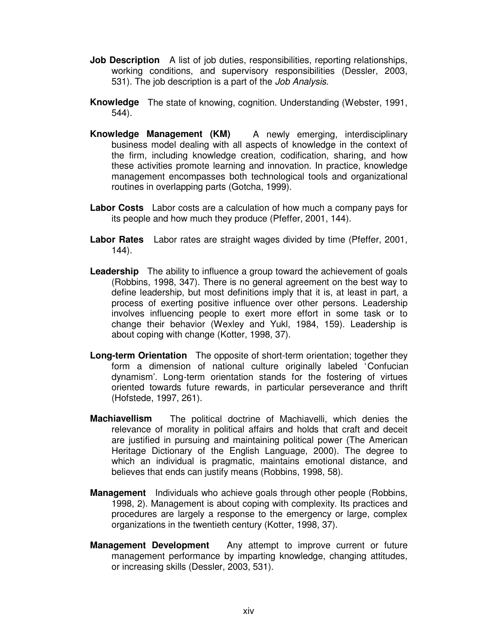- **Job Description** A list of job duties, responsibilities, reporting relationships, working conditions, and supervisory responsibilities (Dessler, 2003, 531). The job description is a part of the *Job Analysis*.
- **Knowledge** The state of knowing, cognition. Understanding (Webster, 1991, 544).
- **Knowledge Management (KM)** A newly emerging, interdisciplinary business model dealing with all aspects of knowledge in the context of the firm, including knowledge creation, codification, sharing, and how these activities promote learning and innovation. In practice, knowledge management encompasses both technological tools and organizational routines in overlapping parts (Gotcha, 1999).
- **Labor Costs** Labor costs are a calculation of how much a company pays for its people and how much they produce (Pfeffer, 2001, 144).
- **Labor Rates** Labor rates are straight wages divided by time (Pfeffer, 2001, 144).
- **Leadership** The ability to influence a group toward the achievement of goals (Robbins, 1998, 347). There is no general agreement on the best way to define leadership, but most definitions imply that it is, at least in part, a process of exerting positive influence over other persons. Leadership involves influencing people to exert more effort in some task or to change their behavior (Wexley and Yukl, 1984, 159). Leadership is about coping with change (Kotter, 1998, 37).
- **Long-term Orientation** The opposite of short-term orientation; together they form a dimension of national culture originally labeled 'Confucian dynamism'. Long-term orientation stands for the fostering of virtues oriented towards future rewards, in particular perseverance and thrift (Hofstede, 1997, 261).
- **Machiavellism** The political doctrine of Machiavelli, which denies the relevance of morality in political affairs and holds that craft and deceit are justified in pursuing and maintaining political power (The American Heritage Dictionary of the English Language, 2000). The degree to which an individual is pragmatic, maintains emotional distance, and believes that ends can justify means (Robbins, 1998, 58).
- **Management** Individuals who achieve goals through other people (Robbins, 1998, 2). Management is about coping with complexity. Its practices and procedures are largely a response to the emergency or large, complex organizations in the twentieth century (Kotter, 1998, 37).
- **Management Development** Any attempt to improve current or future management performance by imparting knowledge, changing attitudes, or increasing skills (Dessler, 2003, 531).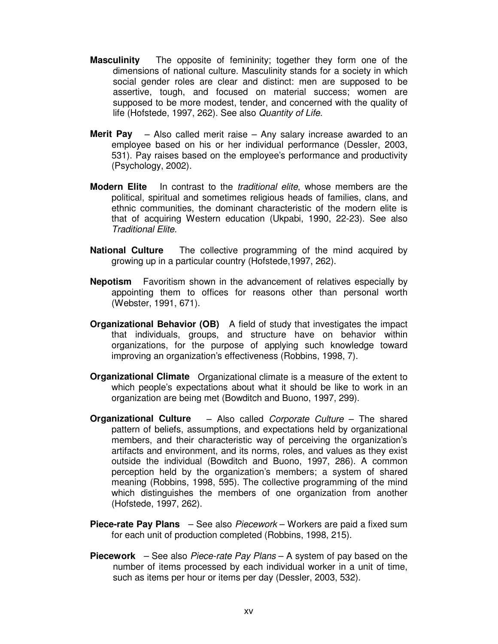- **Masculinity** The opposite of femininity; together they form one of the dimensions of national culture. Masculinity stands for a society in which social gender roles are clear and distinct: men are supposed to be assertive, tough, and focused on material success; women are supposed to be more modest, tender, and concerned with the quality of life (Hofstede, 1997, 262). See also *Quantity of Life*.
- **Merit Pay** Also called merit raise Any salary increase awarded to an employee based on his or her individual performance (Dessler, 2003, 531). Pay raises based on the employee's performance and productivity (Psychology, 2002).
- **Modern Elite** In contrast to the *traditional elite*, whose members are the political, spiritual and sometimes religious heads of families, clans, and ethnic communities, the dominant characteristic of the modern elite is that of acquiring Western education (Ukpabi, 1990, 22-23). See also *Traditional Elite.*
- **National Culture** The collective programming of the mind acquired by growing up in a particular country (Hofstede,1997, 262).
- **Nepotism** Favoritism shown in the advancement of relatives especially by appointing them to offices for reasons other than personal worth (Webster, 1991, 671).
- **Organizational Behavior (OB)** A field of study that investigates the impact that individuals, groups, and structure have on behavior within organizations, for the purpose of applying such knowledge toward improving an organization's effectiveness (Robbins, 1998, 7).
- **Organizational Climate** Organizational climate is a measure of the extent to which people's expectations about what it should be like to work in an organization are being met (Bowditch and Buono, 1997, 299).
- **Organizational Culture** Also called *Corporate Culture* The shared pattern of beliefs, assumptions, and expectations held by organizational members, and their characteristic way of perceiving the organization's artifacts and environment, and its norms, roles, and values as they exist outside the individual (Bowditch and Buono, 1997, 286). A common perception held by the organization's members; a system of shared meaning (Robbins, 1998, 595). The collective programming of the mind which distinguishes the members of one organization from another (Hofstede, 1997, 262).
- **Piece-rate Pay Plans** See also *Piecework* Workers are paid a fixed sum for each unit of production completed (Robbins, 1998, 215).
- **Piecework** See also *Piece-rate Pay Plans* A system of pay based on the number of items processed by each individual worker in a unit of time, such as items per hour or items per day (Dessler, 2003, 532).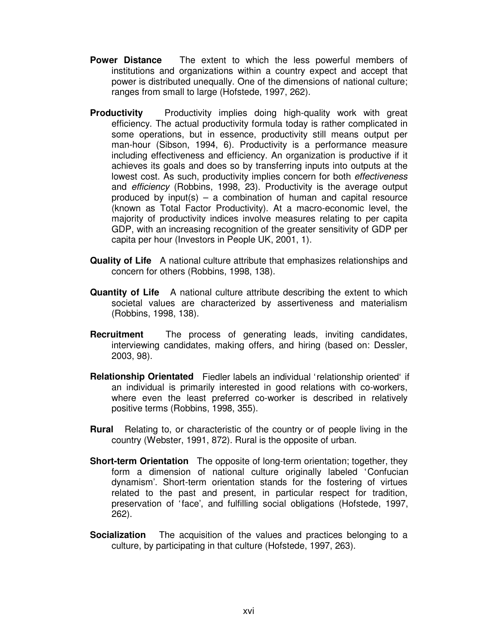- **Power Distance** The extent to which the less powerful members of institutions and organizations within a country expect and accept that power is distributed unequally. One of the dimensions of national culture; ranges from small to large (Hofstede, 1997, 262).
- **Productivity** Productivity implies doing high-quality work with great efficiency. The actual productivity formula today is rather complicated in some operations, but in essence, productivity still means output per man-hour (Sibson, 1994, 6). Productivity is a performance measure including effectiveness and efficiency. An organization is productive if it achieves its goals and does so by transferring inputs into outputs at the lowest cost. As such, productivity implies concern for both *effectiveness* and *efficiency* (Robbins, 1998, 23). Productivity is the average output produced by input(s)  $-$  a combination of human and capital resource (known as Total Factor Productivity). At a macro-economic level, the majority of productivity indices involve measures relating to per capita GDP, with an increasing recognition of the greater sensitivity of GDP per capita per hour (Investors in People UK, 2001, 1).
- **Quality of Life** A national culture attribute that emphasizes relationships and concern for others (Robbins, 1998, 138).
- **Quantity of Life** A national culture attribute describing the extent to which societal values are characterized by assertiveness and materialism (Robbins, 1998, 138).
- **Recruitment** The process of generating leads, inviting candidates, interviewing candidates, making offers, and hiring (based on: Dessler, 2003, 98).
- **Relationship Orientated** Fiedler labels an individual 'relationship oriented' if an individual is primarily interested in good relations with co-workers, where even the least preferred co-worker is described in relatively positive terms (Robbins, 1998, 355).
- **Rural** Relating to, or characteristic of the country or of people living in the country (Webster, 1991, 872). Rural is the opposite of urban.
- **Short-term Orientation** The opposite of long-term orientation; together, they form a dimension of national culture originally labeled 'Confucian dynamism'. Short-term orientation stands for the fostering of virtues related to the past and present, in particular respect for tradition, preservation of 'face', and fulfilling social obligations (Hofstede, 1997, 262).
- **Socialization** The acquisition of the values and practices belonging to a culture, by participating in that culture (Hofstede, 1997, 263).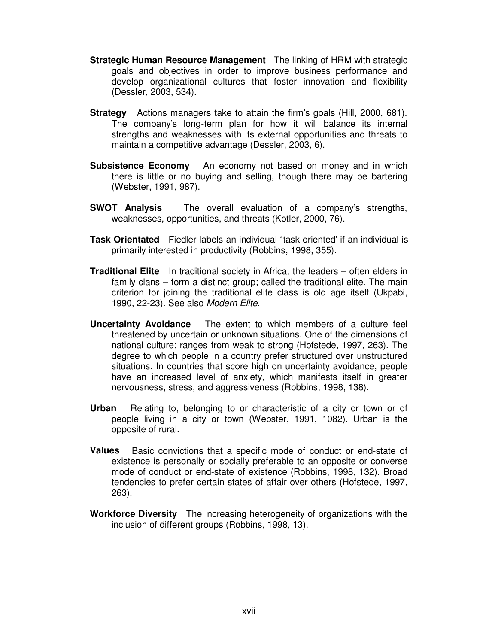- **Strategic Human Resource Management** The linking of HRM with strategic goals and objectives in order to improve business performance and develop organizational cultures that foster innovation and flexibility (Dessler, 2003, 534).
- **Strategy** Actions managers take to attain the firm's goals (Hill, 2000, 681). The company's long-term plan for how it will balance its internal strengths and weaknesses with its external opportunities and threats to maintain a competitive advantage (Dessler, 2003, 6).
- **Subsistence Economy** An economy not based on money and in which there is little or no buying and selling, though there may be bartering (Webster, 1991, 987).
- **SWOT Analysis** The overall evaluation of a company's strengths, weaknesses, opportunities, and threats (Kotler, 2000, 76).
- **Task Orientated** Fiedler labels an individual 'task oriented' if an individual is primarily interested in productivity (Robbins, 1998, 355).
- **Traditional Elite** In traditional society in Africa, the leaders often elders in family clans – form a distinct group; called the traditional elite. The main criterion for joining the traditional elite class is old age itself (Ukpabi, 1990, 22-23). See also *Modern Elite.*
- **Uncertainty Avoidance** The extent to which members of a culture feel threatened by uncertain or unknown situations. One of the dimensions of national culture; ranges from weak to strong (Hofstede, 1997, 263). The degree to which people in a country prefer structured over unstructured situations. In countries that score high on uncertainty avoidance, people have an increased level of anxiety, which manifests itself in greater nervousness, stress, and aggressiveness (Robbins, 1998, 138).
- **Urban** Relating to, belonging to or characteristic of a city or town or of people living in a city or town (Webster, 1991, 1082). Urban is the opposite of rural.
- **Values** Basic convictions that a specific mode of conduct or end-state of existence is personally or socially preferable to an opposite or converse mode of conduct or end-state of existence (Robbins, 1998, 132). Broad tendencies to prefer certain states of affair over others (Hofstede, 1997, 263).
- **Workforce Diversity** The increasing heterogeneity of organizations with the inclusion of different groups (Robbins, 1998, 13).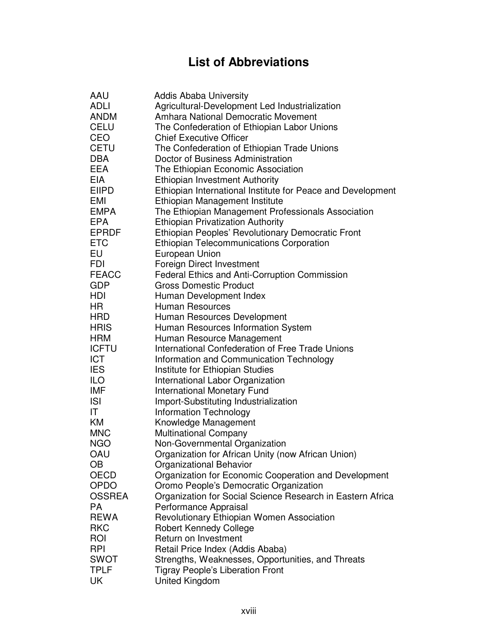## **List of Abbreviations**

| AAU           | <b>Addis Ababa University</b>                               |
|---------------|-------------------------------------------------------------|
| <b>ADLI</b>   | Agricultural-Development Led Industrialization              |
| <b>ANDM</b>   | <b>Amhara National Democratic Movement</b>                  |
| <b>CELU</b>   | The Confederation of Ethiopian Labor Unions                 |
| CEO           | <b>Chief Executive Officer</b>                              |
| <b>CETU</b>   | The Confederation of Ethiopian Trade Unions                 |
| <b>DBA</b>    | Doctor of Business Administration                           |
| <b>EEA</b>    | The Ethiopian Economic Association                          |
| <b>EIA</b>    | <b>Ethiopian Investment Authority</b>                       |
| <b>EIIPD</b>  |                                                             |
|               | Ethiopian International Institute for Peace and Development |
| EMI           | Ethiopian Management Institute                              |
| <b>EMPA</b>   | The Ethiopian Management Professionals Association          |
| <b>EPA</b>    | <b>Ethiopian Privatization Authority</b>                    |
| <b>EPRDF</b>  | Ethiopian Peoples' Revolutionary Democratic Front           |
| <b>ETC</b>    | <b>Ethiopian Telecommunications Corporation</b>             |
| EU            | European Union                                              |
| FDI           | Foreign Direct Investment                                   |
| <b>FEACC</b>  | <b>Federal Ethics and Anti-Corruption Commission</b>        |
| <b>GDP</b>    | <b>Gross Domestic Product</b>                               |
| HDI           | Human Development Index                                     |
| HR            | Human Resources                                             |
| <b>HRD</b>    | Human Resources Development                                 |
| <b>HRIS</b>   | Human Resources Information System                          |
| <b>HRM</b>    | Human Resource Management                                   |
| <b>ICFTU</b>  | International Confederation of Free Trade Unions            |
| <b>ICT</b>    | Information and Communication Technology                    |
| <b>IES</b>    | Institute for Ethiopian Studies                             |
| <b>ILO</b>    | International Labor Organization                            |
| <b>IMF</b>    | <b>International Monetary Fund</b>                          |
| <b>ISI</b>    | Import-Substituting Industrialization                       |
| IT            | <b>Information Technology</b>                               |
| KM            | Knowledge Management                                        |
| <b>MNC</b>    | <b>Multinational Company</b>                                |
| <b>NGO</b>    | Non-Governmental Organization                               |
| OAU           | Organization for African Unity (now African Union)          |
| OВ            | Organizational Behavior                                     |
| OECD          | Organization for Economic Cooperation and Development       |
| <b>OPDO</b>   | Oromo People's Democratic Organization                      |
| <b>OSSREA</b> | Organization for Social Science Research in Eastern Africa  |
| <b>PA</b>     | Performance Appraisal                                       |
| <b>REWA</b>   |                                                             |
| <b>RKC</b>    | Revolutionary Ethiopian Women Association                   |
|               | <b>Robert Kennedy College</b>                               |
| <b>ROI</b>    | Return on Investment                                        |
| <b>RPI</b>    | Retail Price Index (Addis Ababa)                            |
| <b>SWOT</b>   | Strengths, Weaknesses, Opportunities, and Threats           |
| <b>TPLF</b>   | <b>Tigray People's Liberation Front</b>                     |
| UK            | United Kingdom                                              |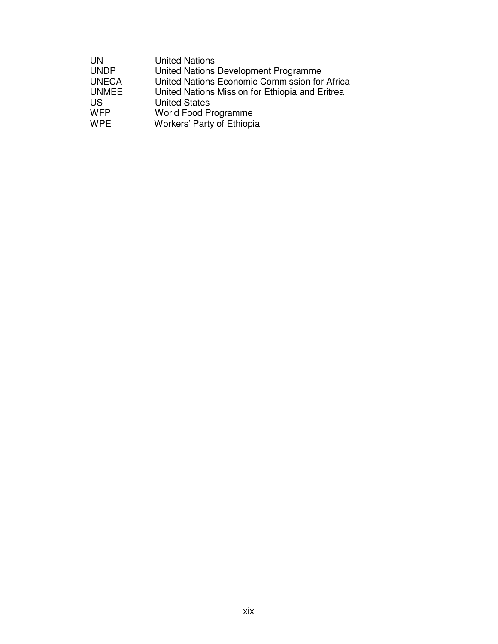| <b>UN</b>    | <b>United Nations</b>                           |
|--------------|-------------------------------------------------|
| <b>UNDP</b>  | United Nations Development Programme            |
| <b>UNECA</b> | United Nations Economic Commission for Africa   |
| <b>UNMEE</b> | United Nations Mission for Ethiopia and Eritrea |
| <b>US</b>    | <b>United States</b>                            |
| <b>WFP</b>   | <b>World Food Programme</b>                     |
| <b>WPE</b>   | Workers' Party of Ethiopia                      |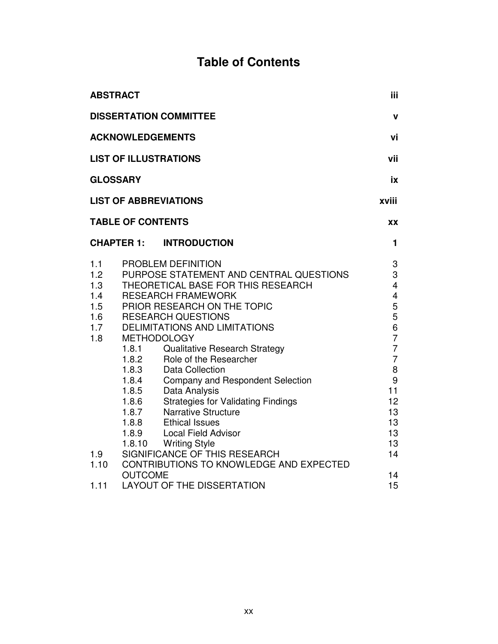## **Table of Contents**

|                                                                     | <b>ABSTRACT</b>                                                                                                                                                                                                                                                                                                                                                                                                                                                                                                                                                                                                                                                                                                                    | iii.                                                                                                                                                   |
|---------------------------------------------------------------------|------------------------------------------------------------------------------------------------------------------------------------------------------------------------------------------------------------------------------------------------------------------------------------------------------------------------------------------------------------------------------------------------------------------------------------------------------------------------------------------------------------------------------------------------------------------------------------------------------------------------------------------------------------------------------------------------------------------------------------|--------------------------------------------------------------------------------------------------------------------------------------------------------|
|                                                                     | <b>DISSERTATION COMMITTEE</b>                                                                                                                                                                                                                                                                                                                                                                                                                                                                                                                                                                                                                                                                                                      | $\mathbf v$                                                                                                                                            |
|                                                                     | <b>ACKNOWLEDGEMENTS</b>                                                                                                                                                                                                                                                                                                                                                                                                                                                                                                                                                                                                                                                                                                            | vi                                                                                                                                                     |
|                                                                     | <b>LIST OF ILLUSTRATIONS</b>                                                                                                                                                                                                                                                                                                                                                                                                                                                                                                                                                                                                                                                                                                       | vii                                                                                                                                                    |
|                                                                     | <b>GLOSSARY</b>                                                                                                                                                                                                                                                                                                                                                                                                                                                                                                                                                                                                                                                                                                                    | ix                                                                                                                                                     |
|                                                                     | <b>LIST OF ABBREVIATIONS</b>                                                                                                                                                                                                                                                                                                                                                                                                                                                                                                                                                                                                                                                                                                       | xviii                                                                                                                                                  |
|                                                                     | <b>TABLE OF CONTENTS</b>                                                                                                                                                                                                                                                                                                                                                                                                                                                                                                                                                                                                                                                                                                           | XX                                                                                                                                                     |
|                                                                     | <b>CHAPTER 1:</b><br><b>INTRODUCTION</b>                                                                                                                                                                                                                                                                                                                                                                                                                                                                                                                                                                                                                                                                                           | 1                                                                                                                                                      |
| 1.1<br>1.2<br>1.3<br>1.4<br>1.5<br>1.6<br>1.7<br>1.8<br>1.9<br>1.10 | PROBLEM DEFINITION<br>PURPOSE STATEMENT AND CENTRAL QUESTIONS<br>THEORETICAL BASE FOR THIS RESEARCH<br><b>RESEARCH FRAMEWORK</b><br>PRIOR RESEARCH ON THE TOPIC<br><b>RESEARCH QUESTIONS</b><br><b>DELIMITATIONS AND LIMITATIONS</b><br><b>METHODOLOGY</b><br>1.8.1<br><b>Qualitative Research Strategy</b><br>Role of the Researcher<br>1.8.2<br><b>Data Collection</b><br>1.8.3<br>Company and Respondent Selection<br>1.8.4<br>Data Analysis<br>1.8.5<br><b>Strategies for Validating Findings</b><br>1.8.6<br>1.8.7<br><b>Narrative Structure</b><br>1.8.8<br><b>Ethical Issues</b><br><b>Local Field Advisor</b><br>1.8.9<br>1.8.10 Writing Style<br>SIGNIFICANCE OF THIS RESEARCH<br>CONTRIBUTIONS TO KNOWLEDGE AND EXPECTED | 3<br>3<br>$\overline{4}$<br>4<br>5<br>5<br>6<br>$\overline{7}$<br>$\overline{7}$<br>$\overline{7}$<br>8<br>9<br>11<br>12<br>13<br>13<br>13<br>13<br>14 |
| 1.11                                                                | <b>OUTCOME</b><br><b>LAYOUT OF THE DISSERTATION</b>                                                                                                                                                                                                                                                                                                                                                                                                                                                                                                                                                                                                                                                                                | 14<br>15                                                                                                                                               |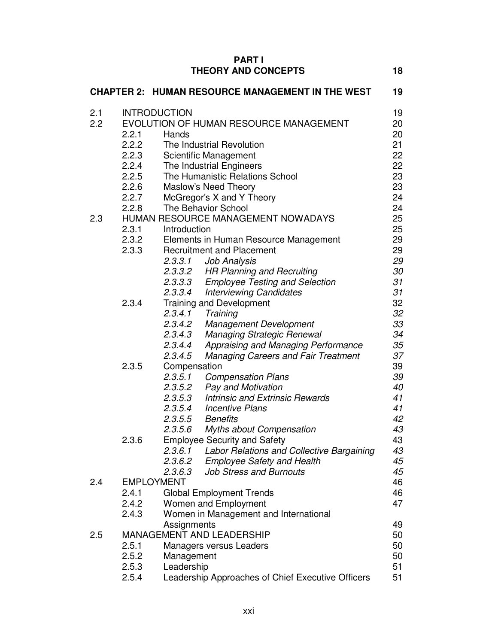| <b>THEORY AND CONCEPTS</b><br><b>CHAPTER 2: HUMAN RESOURCE MANAGEMENT IN THE WEST</b>  | 18<br>19 |
|----------------------------------------------------------------------------------------|----------|
|                                                                                        |          |
|                                                                                        |          |
| <b>INTRODUCTION</b><br>2.1                                                             | 19       |
| 2.2<br>EVOLUTION OF HUMAN RESOURCE MANAGEMENT                                          | 20       |
| 2.2.1<br>Hands                                                                         | 20       |
| 2.2.2<br>The Industrial Revolution                                                     | 21       |
| 2.2.3<br>Scientific Management                                                         | 22       |
| The Industrial Engineers<br>2.2.4                                                      | 22       |
| 2.2.5<br>The Humanistic Relations School                                               | 23       |
| 2.2.6<br>Maslow's Need Theory                                                          | 23       |
| 2.2.7<br>McGregor's X and Y Theory                                                     | 24       |
| The Behavior School<br>2.2.8                                                           | 24       |
| HUMAN RESOURCE MANAGEMENT NOWADAYS<br>2.3                                              | 25       |
| 2.3.1<br>Introduction                                                                  | 25       |
| 2.3.2<br>Elements in Human Resource Management                                         | 29       |
| 2.3.3<br><b>Recruitment and Placement</b>                                              | 29       |
| 2.3.3.1<br>Job Analysis                                                                | 29       |
| 2.3.3.2 HR Planning and Recruiting                                                     | 30       |
| <b>Employee Testing and Selection</b><br>2.3.3.3                                       | 31       |
| 2.3.3.4<br><b>Interviewing Candidates</b>                                              | 31       |
| 2.3.4<br><b>Training and Development</b>                                               | 32       |
| 2.3.4.1<br>Training                                                                    | 32       |
| 2.3.4.2<br><b>Management Development</b>                                               | 33       |
| Managing Strategic Renewal<br>2.3.4.3                                                  | 34       |
| 2.3.4.4<br>Appraising and Managing Performance                                         | 35       |
| 2.3.4.5<br><b>Managing Careers and Fair Treatment</b>                                  | 37       |
| 2.3.5<br>Compensation                                                                  | 39       |
| 2.3.5.1<br><b>Compensation Plans</b>                                                   | 39       |
| 2.3.5.2<br><b>Pay and Motivation</b>                                                   | 40       |
| 2.3.5.3<br><b>Intrinsic and Extrinsic Rewards</b><br>2.3.5.4<br><b>Incentive Plans</b> | 41<br>41 |
| 2.3.5.5<br><b>Benefits</b>                                                             | 42       |
| <b>Myths about Compensation</b><br>2.3.5.6                                             | 43       |
| <b>Employee Security and Safety</b><br>2.3.6                                           | 43       |
| 2.3.6.1 Labor Relations and Collective Bargaining                                      | 43       |
| 2.3.6.2 Employee Safety and Health                                                     | 45       |
| <b>Job Stress and Burnouts</b><br>2.3.6.3                                              | 45       |
| 2.4<br><b>EMPLOYMENT</b>                                                               | 46       |
| 2.4.1<br><b>Global Employment Trends</b>                                               | 46       |
| 2.4.2<br>Women and Employment                                                          | 47       |
| 2.4.3<br>Women in Management and International                                         |          |
| Assignments                                                                            | 49       |
| <b>MANAGEMENT AND LEADERSHIP</b><br>2.5                                                | 50       |
| 2.5.1<br><b>Managers versus Leaders</b>                                                | 50       |
| 2.5.2<br>Management                                                                    | 50       |
| Leadership<br>2.5.3                                                                    | 51       |
| 2.5.4<br>Leadership Approaches of Chief Executive Officers                             | 51       |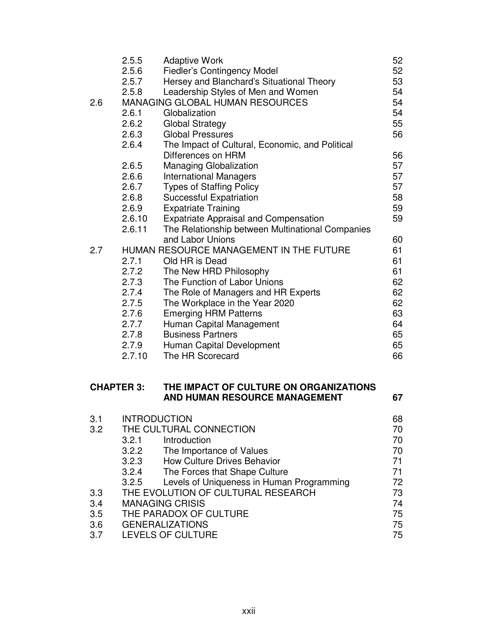| 2.6                      | 2.5.5<br>2.5.6<br>2.5.7<br>2.5.8<br>2.6.1<br>2.6.2<br>2.6.3<br>2.6.4<br>2.6.5<br>2.6.6<br>2.6.7<br>2.6.8 | <b>Adaptive Work</b><br><b>Fiedler's Contingency Model</b><br>Hersey and Blanchard's Situational Theory<br>Leadership Styles of Men and Women<br><b>MANAGING GLOBAL HUMAN RESOURCES</b><br>Globalization<br><b>Global Strategy</b><br><b>Global Pressures</b><br>The Impact of Cultural, Economic, and Political<br>Differences on HRM<br>Managing Globalization<br><b>International Managers</b><br><b>Types of Staffing Policy</b><br><b>Successful Expatriation</b> | 52<br>52<br>53<br>54<br>54<br>54<br>55<br>56<br>56<br>57<br>57<br>57<br>58 |
|--------------------------|----------------------------------------------------------------------------------------------------------|------------------------------------------------------------------------------------------------------------------------------------------------------------------------------------------------------------------------------------------------------------------------------------------------------------------------------------------------------------------------------------------------------------------------------------------------------------------------|----------------------------------------------------------------------------|
|                          | 2.6.9<br>2.6.10<br>2.6.11                                                                                | <b>Expatriate Training</b><br><b>Expatriate Appraisal and Compensation</b><br>The Relationship between Multinational Companies<br>and Labor Unions                                                                                                                                                                                                                                                                                                                     | 59<br>59                                                                   |
| 2.7                      | 2.7.1<br>2.7.2<br>2.7.3<br>2.7.4<br>2.7.5<br>2.7.6<br>2.7.7<br>2.7.8<br>2.7.9<br>2.7.10                  | HUMAN RESOURCE MANAGEMENT IN THE FUTURE<br>Old HR is Dead<br>The New HRD Philosophy<br>The Function of Labor Unions<br>The Role of Managers and HR Experts<br>The Workplace in the Year 2020<br><b>Emerging HRM Patterns</b><br>Human Capital Management<br><b>Business Partners</b><br>Human Capital Development<br>The HR Scorecard                                                                                                                                  | 60<br>61<br>61<br>61<br>62<br>62<br>62<br>63<br>64<br>65<br>65<br>66       |
| <b>CHAPTER 3:</b>        |                                                                                                          | THE IMPACT OF CULTURE ON ORGANIZATIONS<br>AND HUMAN RESOURCE MANAGEMENT                                                                                                                                                                                                                                                                                                                                                                                                | 67                                                                         |
| 3.1<br>3.2               | <b>INTRODUCTION</b><br>3.2.1<br>3.2.2<br>3.2.3<br>3.2.4<br>3.2.5                                         | THE CULTURAL CONNECTION<br>Introduction<br>The Importance of Values<br><b>How Culture Drives Behavior</b><br>The Forces that Shape Culture<br>Levels of Uniqueness in Human Programming                                                                                                                                                                                                                                                                                | 68<br>70<br>70<br>70<br>71<br>71<br>72                                     |
| 3.3<br>3.4<br>3.5<br>3.6 |                                                                                                          | THE EVOLUTION OF CULTURAL RESEARCH<br><b>MANAGING CRISIS</b><br>THE PARADOX OF CULTURE<br><b>GENERALIZATIONS</b>                                                                                                                                                                                                                                                                                                                                                       | 73<br>74<br>75<br>75                                                       |

3.7 LEVELS OF CULTURE 75